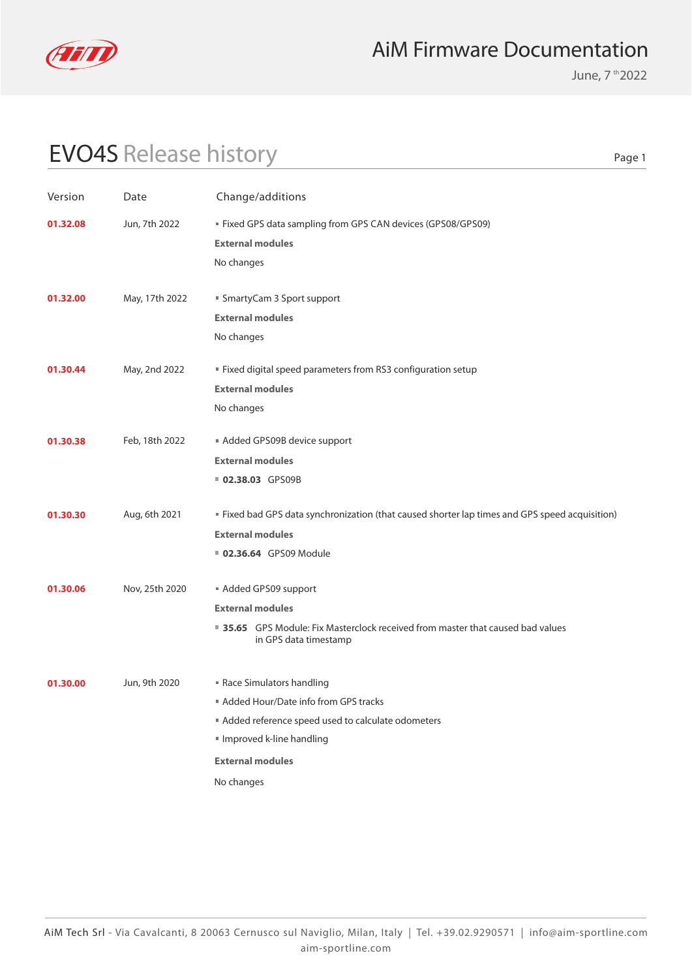

June, 7 th 2022

# EVO4S Release history

| Version                   | Date           | Change/additions                                                                                         |  |  |
|---------------------------|----------------|----------------------------------------------------------------------------------------------------------|--|--|
| Jun, 7th 2022<br>01.32.08 |                | Fixed GPS data sampling from GPS CAN devices (GPS08/GPS09)                                               |  |  |
|                           |                | <b>External modules</b>                                                                                  |  |  |
|                           |                | No changes                                                                                               |  |  |
| 01.32.00                  | May, 17th 2022 | ■ SmartyCam 3 Sport support                                                                              |  |  |
|                           |                | <b>External modules</b>                                                                                  |  |  |
|                           |                | No changes                                                                                               |  |  |
| 01.30.44                  | May, 2nd 2022  | " Fixed digital speed parameters from RS3 configuration setup                                            |  |  |
|                           |                | <b>External modules</b>                                                                                  |  |  |
|                           |                | No changes                                                                                               |  |  |
| 01.30.38                  | Feb, 18th 2022 | Added GPS09B device support                                                                              |  |  |
|                           |                | <b>External modules</b>                                                                                  |  |  |
|                           |                | <b>02.38.03 GPS09B</b>                                                                                   |  |  |
| 01.30.30                  | Aug, 6th 2021  | " Fixed bad GPS data synchronization (that caused shorter lap times and GPS speed acquisition)           |  |  |
|                           |                | <b>External modules</b>                                                                                  |  |  |
|                           |                | 02.36.64 GPS09 Module                                                                                    |  |  |
| 01.30.06                  | Nov, 25th 2020 | Added GPS09 support                                                                                      |  |  |
|                           |                | <b>External modules</b>                                                                                  |  |  |
|                           |                | ■ 35.65 GPS Module: Fix Masterclock received from master that caused bad values<br>in GPS data timestamp |  |  |
| 01.30.00                  | Jun, 9th 2020  | Race Simulators handling                                                                                 |  |  |
|                           |                | Added Hour/Date info from GPS tracks                                                                     |  |  |
|                           |                | Added reference speed used to calculate odometers                                                        |  |  |
|                           |                | Improved k-line handling                                                                                 |  |  |
|                           |                | <b>External modules</b>                                                                                  |  |  |
|                           |                | No changes                                                                                               |  |  |
|                           |                |                                                                                                          |  |  |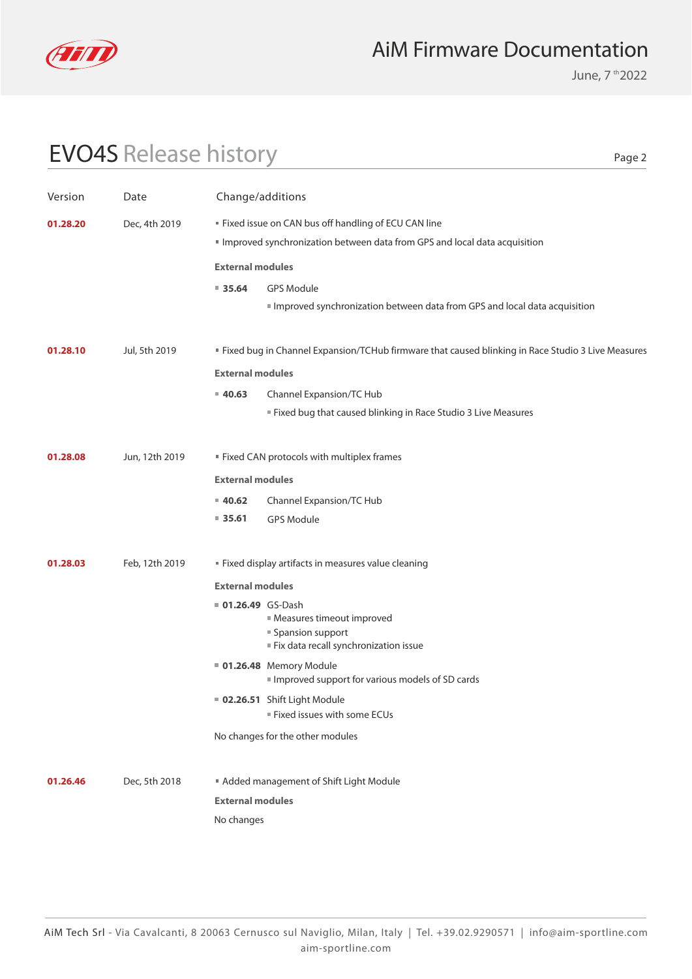

June, 7 th 2022

Page 2

### EVO4S Release history

Version Date Change/additions

| 01.28.20                | Dec, 4th 2019 |                         | " Fixed issue on CAN bus off handling of ECU CAN line<br>Improved synchronization between data from GPS and local data acquisition |
|-------------------------|---------------|-------------------------|------------------------------------------------------------------------------------------------------------------------------------|
|                         |               | <b>External modules</b> |                                                                                                                                    |
|                         |               | $= 35.64$               | <b>GPS Module</b>                                                                                                                  |
|                         |               |                         | Improved synchronization between data from GPS and local data acquisition                                                          |
|                         |               |                         |                                                                                                                                    |
| 01.28.10                | Jul, 5th 2019 |                         | <b>Example 1</b> Fixed bug in Channel Expansion/TCHub firmware that caused blinking in Race Studio 3 Live Measures                 |
| <b>External modules</b> |               |                         |                                                                                                                                    |
|                         |               | $= 40.63$               | Channel Expansion/TC Hub                                                                                                           |
|                         |               |                         | ■ Fixed bug that caused blinking in Race Studio 3 Live Measures                                                                    |
|                         |               |                         |                                                                                                                                    |

#### **External modules 01.28.08** Jun, 12th 2019 **Fixed CAN protocols with multiplex frames**

- **40.62** Channel Expansion/TC Hub
- **35.61** GPS Module
- **01.28.03** Feb, 12th 2019 **Fixed display artifacts in measures value cleaning** 
	- **External modules**
	- **01.26.49** GS-Dash
		- Measures timeout improved ■ Spansion support
			- $F$  Fix data recall synchronization issue
	- No changes for the other modules **01.26.48** Memory Module **02.26.51** Shift Light Module Improved support for various models of SD cards Fixed issues with some ECUs
- No changes **External modules 01.26.46** Dec, 5th 2018 **Added management of Shift Light Module**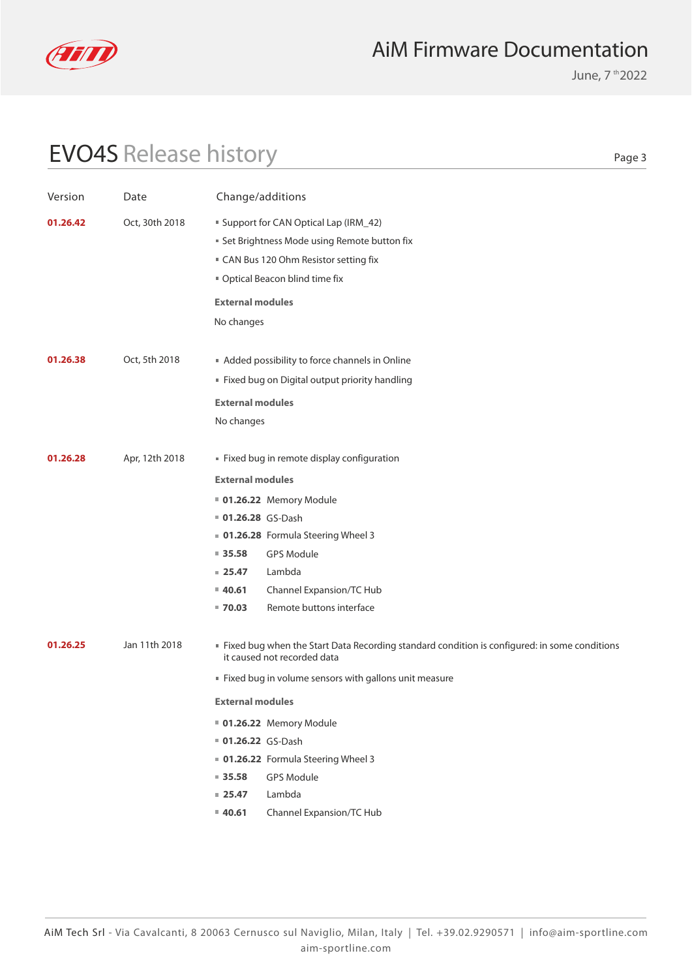

June, 7 th 2022

# EVO4S Release history

| Version  | Date           | Change/additions                                                                                                                                                        |                                                                                                                                |  |
|----------|----------------|-------------------------------------------------------------------------------------------------------------------------------------------------------------------------|--------------------------------------------------------------------------------------------------------------------------------|--|
| 01.26.42 | Oct, 30th 2018 | Support for CAN Optical Lap (IRM_42)<br><b>Set Brightness Mode using Remote button fix</b><br>" CAN Bus 120 Ohm Resistor setting fix<br>" Optical Beacon blind time fix |                                                                                                                                |  |
|          |                | <b>External modules</b><br>No changes                                                                                                                                   |                                                                                                                                |  |
|          |                |                                                                                                                                                                         |                                                                                                                                |  |
| 01.26.38 | Oct, 5th 2018  | <b>External modules</b>                                                                                                                                                 | Added possibility to force channels in Online<br>Fixed bug on Digital output priority handling                                 |  |
|          |                | No changes                                                                                                                                                              |                                                                                                                                |  |
| 01.26.28 | Apr, 12th 2018 |                                                                                                                                                                         | " Fixed bug in remote display configuration                                                                                    |  |
|          |                | <b>External modules</b>                                                                                                                                                 |                                                                                                                                |  |
|          |                |                                                                                                                                                                         | <b>01.26.22</b> Memory Module                                                                                                  |  |
|          |                | <b>01.26.28</b> GS-Dash                                                                                                                                                 |                                                                                                                                |  |
|          |                |                                                                                                                                                                         | ■ 01.26.28 Formula Steering Wheel 3                                                                                            |  |
|          |                | $\blacksquare$ 35.58                                                                                                                                                    | <b>GPS Module</b>                                                                                                              |  |
|          |                | $= 25.47$                                                                                                                                                               | Lambda                                                                                                                         |  |
|          |                | $= 40.61$                                                                                                                                                               | Channel Expansion/TC Hub                                                                                                       |  |
|          |                | $= 70.03$                                                                                                                                                               | Remote buttons interface                                                                                                       |  |
| 01.26.25 | Jan 11th 2018  |                                                                                                                                                                         | If Fixed bug when the Start Data Recording standard condition is configured: in some conditions<br>it caused not recorded data |  |
|          |                |                                                                                                                                                                         | " Fixed bug in volume sensors with gallons unit measure                                                                        |  |
|          |                | <b>External modules</b>                                                                                                                                                 |                                                                                                                                |  |
|          |                |                                                                                                                                                                         | <b>01.26.22</b> Memory Module                                                                                                  |  |
|          |                | 01.26.22 GS-Dash                                                                                                                                                        |                                                                                                                                |  |
|          |                |                                                                                                                                                                         | 01.26.22 Formula Steering Wheel 3                                                                                              |  |
|          |                | $= 35.58$                                                                                                                                                               | GPS Module                                                                                                                     |  |
|          |                | $= 25.47$                                                                                                                                                               | Lambda                                                                                                                         |  |
|          |                | 40.61                                                                                                                                                                   | Channel Expansion/TC Hub                                                                                                       |  |
|          |                |                                                                                                                                                                         |                                                                                                                                |  |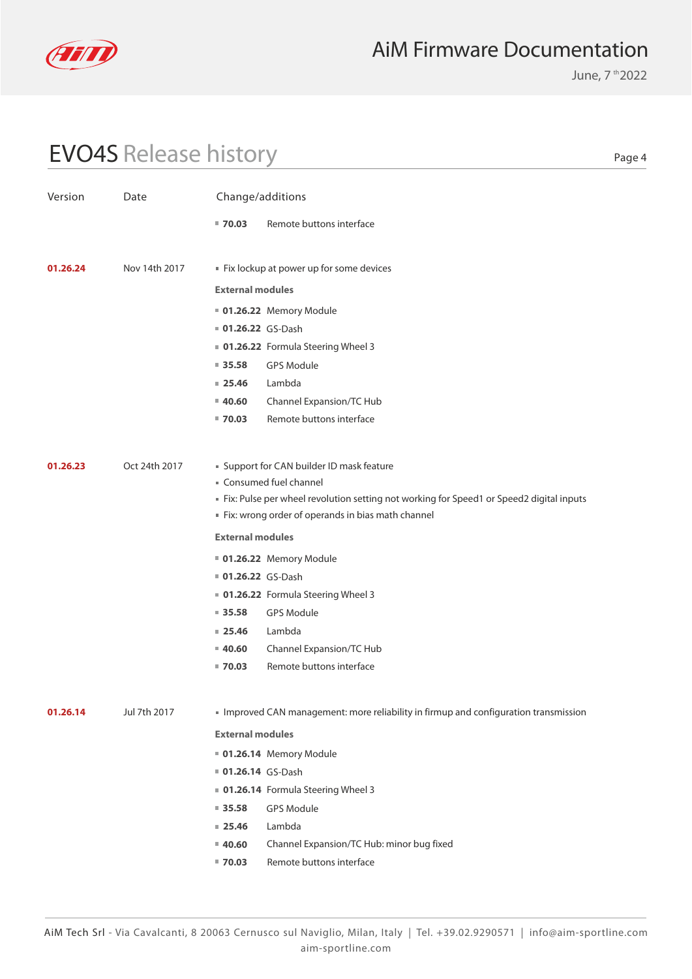

June, 7 th 2022

Page 4

# EVO4S Release history

| Version  | Date          | Change/additions                                                             |                                                                                         |  |  |
|----------|---------------|------------------------------------------------------------------------------|-----------------------------------------------------------------------------------------|--|--|
|          |               | $= 70.03$                                                                    | Remote buttons interface                                                                |  |  |
|          |               |                                                                              |                                                                                         |  |  |
| 01.26.24 | Nov 14th 2017 |                                                                              | Fix lockup at power up for some devices                                                 |  |  |
|          |               | <b>External modules</b>                                                      |                                                                                         |  |  |
|          |               |                                                                              | <b>01.26.22</b> Memory Module                                                           |  |  |
|          |               | <b>01.26.22</b> GS-Dash                                                      |                                                                                         |  |  |
|          |               |                                                                              | 01.26.22 Formula Steering Wheel 3                                                       |  |  |
|          |               | $\blacksquare$ 35.58                                                         | <b>GPS Module</b>                                                                       |  |  |
|          |               | $= 25.46$                                                                    | Lambda                                                                                  |  |  |
|          |               | $= 40.60$                                                                    | Channel Expansion/TC Hub                                                                |  |  |
|          |               | $= 70.03$                                                                    | Remote buttons interface                                                                |  |  |
|          |               |                                                                              |                                                                                         |  |  |
| 01.26.23 | Oct 24th 2017 |                                                                              | " Support for CAN builder ID mask feature                                               |  |  |
|          |               |                                                                              | Consumed fuel channel                                                                   |  |  |
|          |               |                                                                              | Fix: Pulse per wheel revolution setting not working for Speed1 or Speed2 digital inputs |  |  |
|          |               | Fix: wrong order of operands in bias math channel<br><b>External modules</b> |                                                                                         |  |  |
|          |               |                                                                              |                                                                                         |  |  |
|          |               |                                                                              | <b>01.26.22</b> Memory Module                                                           |  |  |
|          |               | 01.26.22 GS-Dash                                                             |                                                                                         |  |  |
|          |               |                                                                              | 01.26.22 Formula Steering Wheel 3                                                       |  |  |
|          |               | $= 35.58$                                                                    | <b>GPS Module</b>                                                                       |  |  |
|          |               | $= 25.46$                                                                    | Lambda                                                                                  |  |  |
|          |               | $= 40.60$                                                                    | Channel Expansion/TC Hub                                                                |  |  |
|          |               | $= 70.03$                                                                    | Remote buttons interface                                                                |  |  |
| 01.26.14 | Jul 7th 2017  |                                                                              | Improved CAN management: more reliability in firmup and configuration transmission      |  |  |
|          |               | <b>External modules</b>                                                      |                                                                                         |  |  |
|          |               |                                                                              | 01.26.14 Memory Module                                                                  |  |  |
|          |               | 01.26.14 GS-Dash                                                             |                                                                                         |  |  |
|          |               |                                                                              | 01.26.14 Formula Steering Wheel 3                                                       |  |  |
|          |               | 935.58                                                                       | <b>GPS Module</b>                                                                       |  |  |
|          |               | $= 25.46$                                                                    | Lambda                                                                                  |  |  |
|          |               | 40.60                                                                        | Channel Expansion/TC Hub: minor bug fixed                                               |  |  |
|          |               | $= 70.03$                                                                    | Remote buttons interface                                                                |  |  |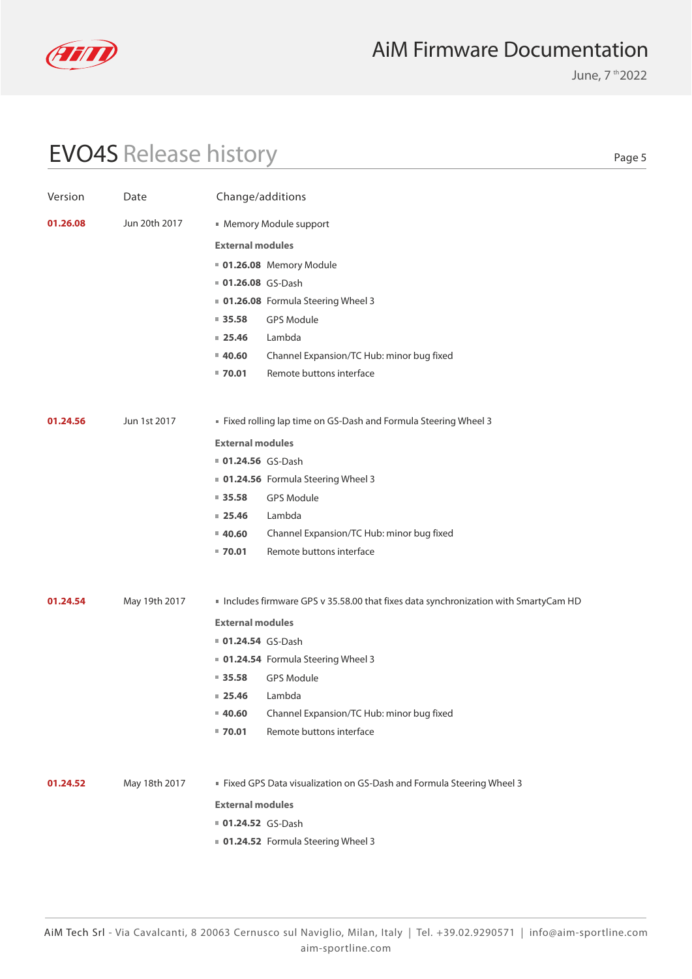

June, 7 th 2022

# EVO4S Release history

| Version  | Date          | Change/additions                                                 |                                                                                    |  |  |
|----------|---------------|------------------------------------------------------------------|------------------------------------------------------------------------------------|--|--|
| 01.26.08 | Jun 20th 2017 | Memory Module support                                            |                                                                                    |  |  |
|          |               | <b>External modules</b>                                          |                                                                                    |  |  |
|          |               | <b>01.26.08</b> Memory Module                                    |                                                                                    |  |  |
|          |               | 01.26.08 GS-Dash                                                 |                                                                                    |  |  |
|          |               |                                                                  | 01.26.08 Formula Steering Wheel 3                                                  |  |  |
|          |               | $= 35.58$                                                        | <b>GPS Module</b>                                                                  |  |  |
|          |               | $= 25.46$                                                        | Lambda                                                                             |  |  |
|          |               | $= 40.60$                                                        | Channel Expansion/TC Hub: minor bug fixed                                          |  |  |
|          |               | $= 70.01$                                                        | Remote buttons interface                                                           |  |  |
|          |               |                                                                  |                                                                                    |  |  |
| 01.24.56 | Jun 1st 2017  | " Fixed rolling lap time on GS-Dash and Formula Steering Wheel 3 |                                                                                    |  |  |
|          |               | <b>External modules</b>                                          |                                                                                    |  |  |
|          |               | 01.24.56 GS-Dash                                                 |                                                                                    |  |  |
|          |               |                                                                  | • 01.24.56 Formula Steering Wheel 3                                                |  |  |
|          |               | $= 35.58$                                                        | <b>GPS Module</b>                                                                  |  |  |
|          |               | $= 25.46$                                                        | Lambda                                                                             |  |  |
|          |               | $= 40.60$                                                        | Channel Expansion/TC Hub: minor bug fixed                                          |  |  |
|          |               | $= 70.01$                                                        | Remote buttons interface                                                           |  |  |
| 01.24.54 | May 19th 2017 |                                                                  | Includes firmware GPS v 35.58.00 that fixes data synchronization with SmartyCam HD |  |  |
|          |               | <b>External modules</b>                                          |                                                                                    |  |  |
|          |               | ■ 01.24.54 GS-Dash                                               |                                                                                    |  |  |
|          |               |                                                                  | • 01.24.54 Formula Steering Wheel 3                                                |  |  |
|          |               | $\blacksquare$ 35.58                                             | <b>GPS Module</b>                                                                  |  |  |
|          |               | $= 25.46$                                                        | Lambda                                                                             |  |  |
|          |               | $= 40.60$                                                        | Channel Expansion/TC Hub: minor bug fixed                                          |  |  |
|          |               | $= 70.01$                                                        | Remote buttons interface                                                           |  |  |
|          |               |                                                                  |                                                                                    |  |  |
| 01.24.52 | May 18th 2017 |                                                                  | Eixed GPS Data visualization on GS-Dash and Formula Steering Wheel 3               |  |  |
|          |               | <b>External modules</b>                                          |                                                                                    |  |  |
|          |               | <b>01.24.52</b> GS-Dash                                          |                                                                                    |  |  |
|          |               |                                                                  | 01.24.52 Formula Steering Wheel 3                                                  |  |  |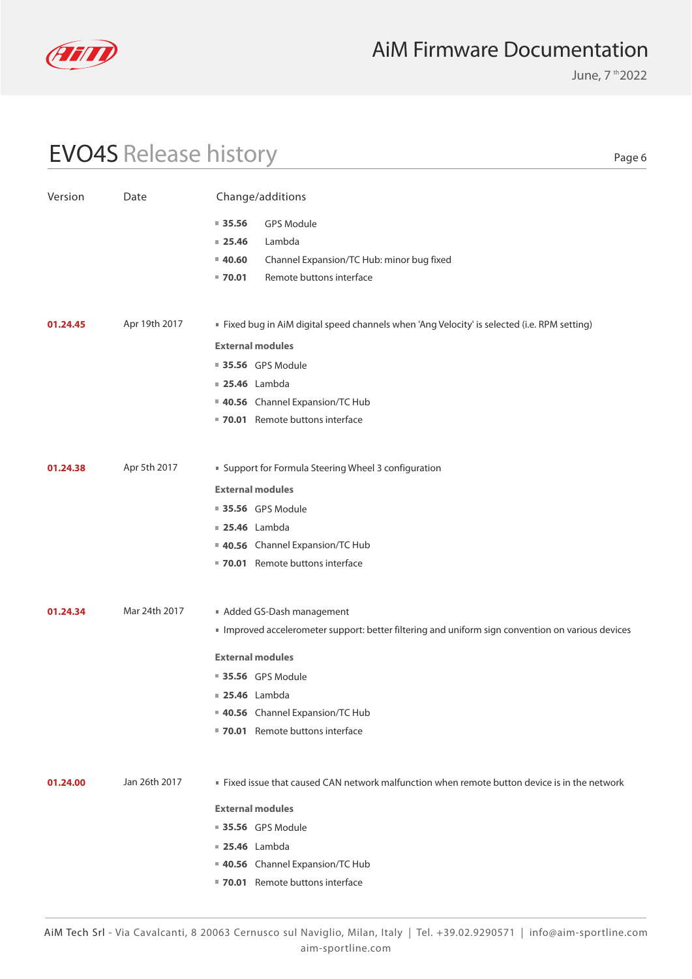

June, 7 th 2022

Page 6

### EVO4S Release history

Version Date Change/additions **01.24.00** Jan 26th 2017 **Fixed issue that caused CAN network malfunction when remote button device is in the network 40.56** Channel Expansion/TC Hub **70.01** Remote buttons interface  **25.46** Lambda **35.56** GPS Module **External modules 01.24.38 01.24.45 01.24.34** Apr 5th 2017 Apr 19th 2017 Mar 24th 2017 Support for Formula Steering Wheel 3 configuration Fixed bug in AiM digital speed channels when 'Ang Velocity' is selected (i.e. RPM setting) Added GS-Dash management Improved accelerometer support: better filtering and uniform sign convention on various devices **40.56** Channel Expansion/TC Hub **40.56** Channel Expansion/TC Hub **40.56** Channel Expansion/TC Hub **70.01** Remote buttons interface **70.01** Remote buttons interface **70.01** Remote buttons interface  **25.46** Lambda  **25.46** Lambda  **25.46** Lambda **35.56** GPS Module **35.56** GPS Module **35.56** GPS Module **External modules External modules External modules 40.60 70.01 25.46 35.56** Channel Expansion/TC Hub: minor bug fixed Remote buttons interface Lambda GPS Module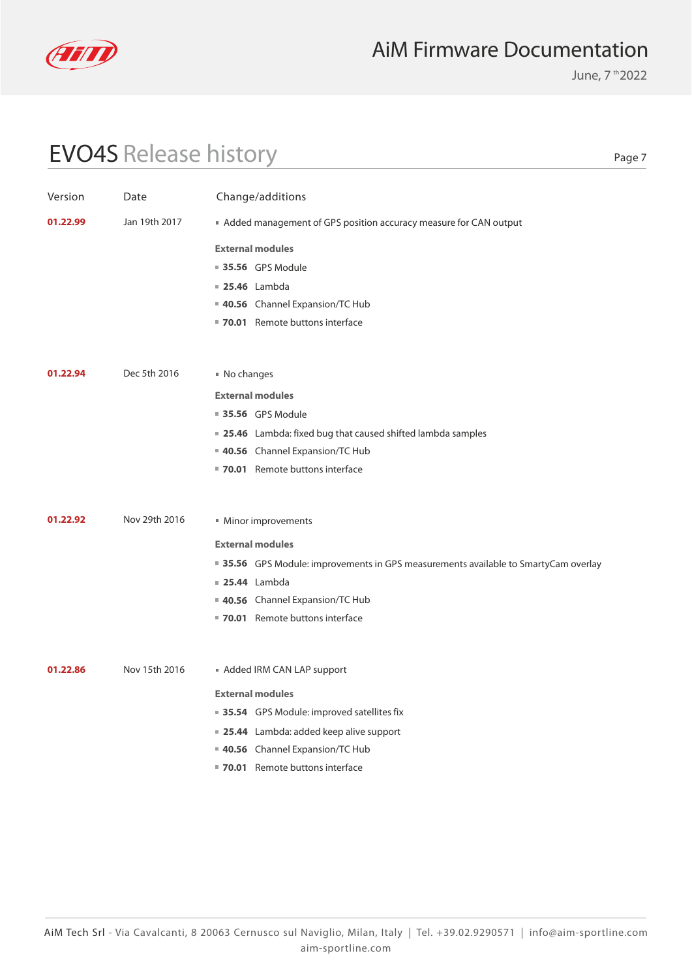

June, 7 th 2022

# EVO4S Release history

| Version  | Date          | Change/additions                                                                    |  |  |  |
|----------|---------------|-------------------------------------------------------------------------------------|--|--|--|
| 01.22.99 | Jan 19th 2017 | ■ Added management of GPS position accuracy measure for CAN output                  |  |  |  |
|          |               | <b>External modules</b>                                                             |  |  |  |
|          |               | 35.56 GPS Module                                                                    |  |  |  |
|          |               | <b>25.46</b> Lambda                                                                 |  |  |  |
|          |               | 40.56 Channel Expansion/TC Hub                                                      |  |  |  |
|          |               | 70.01 Remote buttons interface                                                      |  |  |  |
|          |               |                                                                                     |  |  |  |
|          |               |                                                                                     |  |  |  |
| 01.22.94 | Dec 5th 2016  | No changes                                                                          |  |  |  |
|          |               | <b>External modules</b>                                                             |  |  |  |
|          |               | 35.56 GPS Module                                                                    |  |  |  |
|          |               | ■ 25.46 Lambda: fixed bug that caused shifted lambda samples                        |  |  |  |
|          |               | 40.56 Channel Expansion/TC Hub                                                      |  |  |  |
|          |               | 70.01 Remote buttons interface                                                      |  |  |  |
|          |               |                                                                                     |  |  |  |
| 01.22.92 | Nov 29th 2016 | ■ Minor improvements                                                                |  |  |  |
|          |               | <b>External modules</b>                                                             |  |  |  |
|          |               | ■ 35.56 GPS Module: improvements in GPS measurements available to SmartyCam overlay |  |  |  |
|          |               | <b>25.44</b> Lambda                                                                 |  |  |  |
|          |               | 40.56 Channel Expansion/TC Hub                                                      |  |  |  |
|          |               | 70.01 Remote buttons interface                                                      |  |  |  |
|          |               |                                                                                     |  |  |  |
|          |               |                                                                                     |  |  |  |
| 01.22.86 | Nov 15th 2016 | Added IRM CAN LAP support                                                           |  |  |  |
|          |               | <b>External modules</b>                                                             |  |  |  |
|          |               | ■ 35.54 GPS Module: improved satellites fix                                         |  |  |  |
|          |               | ■ 25.44 Lambda: added keep alive support                                            |  |  |  |
|          |               | 40.56 Channel Expansion/TC Hub                                                      |  |  |  |
|          |               | 70.01 Remote buttons interface                                                      |  |  |  |
|          |               |                                                                                     |  |  |  |